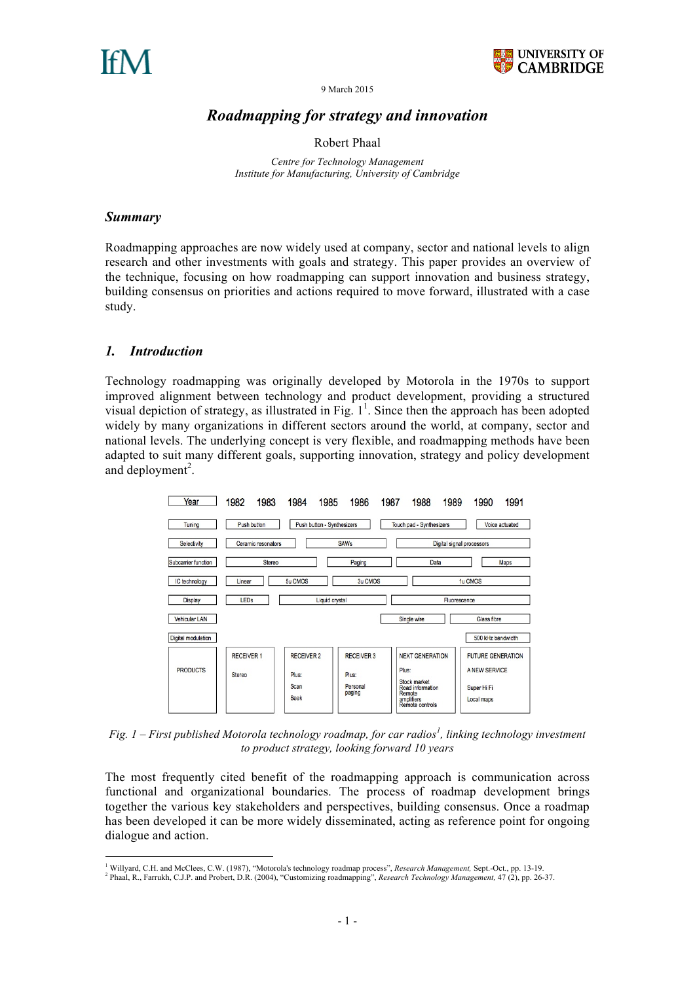



9 March 2015

# *Roadmapping for strategy and innovation*

Robert Phaal

*Centre for Technology Management Institute for Manufacturing, University of Cambridge*

#### *Summary*

Roadmapping approaches are now widely used at company, sector and national levels to align research and other investments with goals and strategy. This paper provides an overview of the technique, focusing on how roadmapping can support innovation and business strategy, building consensus on priorities and actions required to move forward, illustrated with a case study.

#### *1. Introduction*

Technology roadmapping was originally developed by Motorola in the 1970s to support improved alignment between technology and product development, providing a structured visual depiction of strategy, as illustrated in Fig.  $1^1$ . Since then the approach has been adopted widely by many organizations in different sectors around the world, at company, sector and national levels. The underlying concept is very flexible, and roadmapping methods have been adapted to suit many different goals, supporting innovation, strategy and policy development and deployment<sup>2</sup>.



*Fig. 1 – First published Motorola technology roadmap, for car radios<sup>1</sup> , linking technology investment to product strategy, looking forward 10 years*

The most frequently cited benefit of the roadmapping approach is communication across functional and organizational boundaries. The process of roadmap development brings together the various key stakeholders and perspectives, building consensus. Once a roadmap has been developed it can be more widely disseminated, acting as reference point for ongoing dialogue and action.

<sup>&</sup>lt;sup>1</sup> Willyard, C.H. and McClees, C.W. (1987), "Motorola's technology roadmap process", *Research Management*, Sept.-Oct., pp. 13-19.

Phaal, R., Farrukh, C.J.P. and Probert, D.R. (2004), "Customizing roadmapping", *Research Technology Management,* 47 (2), pp. 26-37.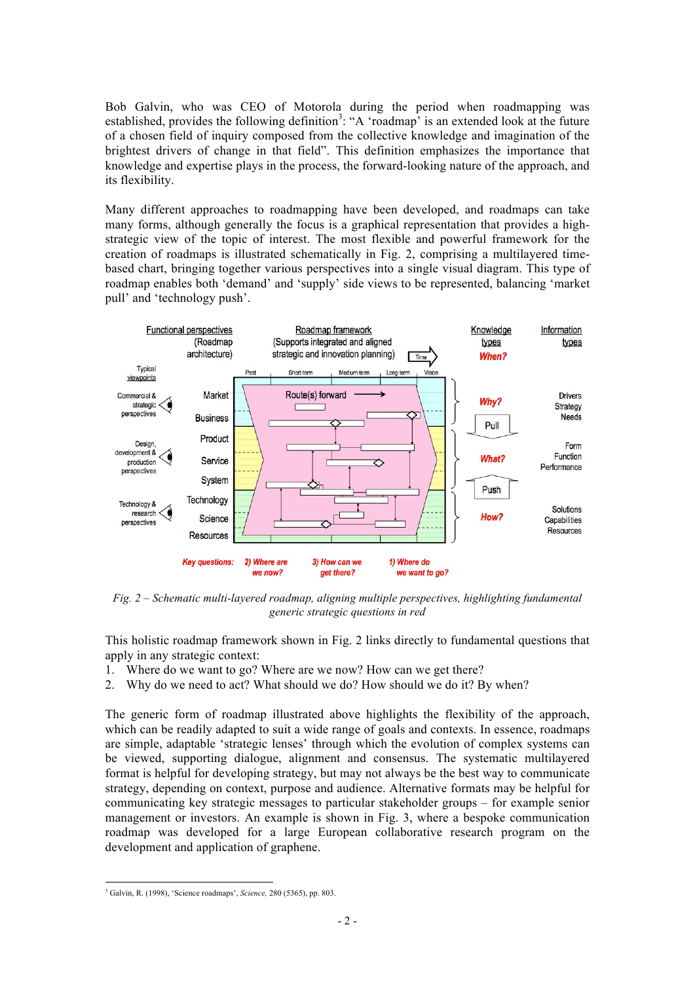Bob Galvin, who was CEO of Motorola during the period when roadmapping was established, provides the following definition<sup>3</sup>: "A 'roadmap' is an extended look at the future of a chosen field of inquiry composed from the collective knowledge and imagination of the brightest drivers of change in that field". This definition emphasizes the importance that knowledge and expertise plays in the process, the forward-looking nature of the approach, and its flexibility.

Many different approaches to roadmapping have been developed, and roadmaps can take many forms, although generally the focus is a graphical representation that provides a highstrategic view of the topic of interest. The most flexible and powerful framework for the creation of roadmaps is illustrated schematically in Fig. 2, comprising a multilayered timebased chart, bringing together various perspectives into a single visual diagram. This type of roadmap enables both 'demand' and 'supply' side views to be represented, balancing 'market pull' and 'technology push'.



*Fig. 2 – Schematic multi-layered roadmap, aligning multiple perspectives, highlighting fundamental generic strategic questions in red*

This holistic roadmap framework shown in Fig. 2 links directly to fundamental questions that apply in any strategic context:

- 1. Where do we want to go? Where are we now? How can we get there?
- 2. Why do we need to act? What should we do? How should we do it? By when?

The generic form of roadmap illustrated above highlights the flexibility of the approach, which can be readily adapted to suit a wide range of goals and contexts. In essence, roadmaps are simple, adaptable 'strategic lenses' through which the evolution of complex systems can be viewed, supporting dialogue, alignment and consensus. The systematic multilayered format is helpful for developing strategy, but may not always be the best way to communicate strategy, depending on context, purpose and audience. Alternative formats may be helpful for communicating key strategic messages to particular stakeholder groups – for example senior management or investors. An example is shown in Fig. 3, where a bespoke communication roadmap was developed for a large European collaborative research program on the development and application of graphene.

 <sup>3</sup> Galvin, R. (1998), 'Science roadmaps', *Science,* 280 (5365), pp. 803.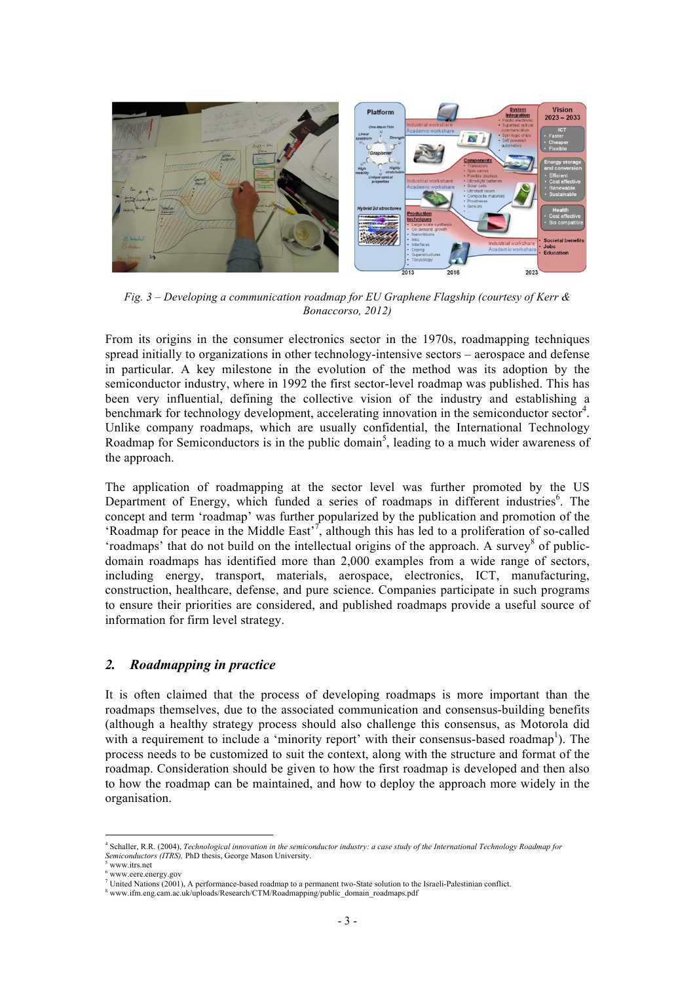

*Fig. 3 – Developing a communication roadmap for EU Graphene Flagship (courtesy of Kerr & Bonaccorso, 2012)*

From its origins in the consumer electronics sector in the 1970s, roadmapping techniques spread initially to organizations in other technology-intensive sectors – aerospace and defense in particular. A key milestone in the evolution of the method was its adoption by the semiconductor industry, where in 1992 the first sector-level roadmap was published. This has been very influential, defining the collective vision of the industry and establishing a benchmark for technology development, accelerating innovation in the semiconductor sector<sup>4</sup>. Unlike company roadmaps, which are usually confidential, the International Technology Roadmap for Semiconductors is in the public domain<sup>5</sup>, leading to a much wider awareness of the approach.

The application of roadmapping at the sector level was further promoted by the US Department of Energy, which funded a series of roadmaps in different industries<sup>6</sup>. The concept and term 'roadmap' was further popularized by the publication and promotion of the 'Roadmap for peace in the Middle East'<sup>7</sup>, although this has led to a proliferation of so-called 'roadmaps' that do not build on the intellectual origins of the approach. A survey<sup>8</sup> of publicdomain roadmaps has identified more than 2,000 examples from a wide range of sectors, including energy, transport, materials, aerospace, electronics, ICT, manufacturing, construction, healthcare, defense, and pure science. Companies participate in such programs to ensure their priorities are considered, and published roadmaps provide a useful source of information for firm level strategy.

#### *2. Roadmapping in practice*

It is often claimed that the process of developing roadmaps is more important than the roadmaps themselves, due to the associated communication and consensus-building benefits (although a healthy strategy process should also challenge this consensus, as Motorola did with a requirement to include a 'minority report' with their consensus-based roadmap<sup>1</sup>). The process needs to be customized to suit the context, along with the structure and format of the roadmap. Consideration should be given to how the first roadmap is developed and then also to how the roadmap can be maintained, and how to deploy the approach more widely in the organisation.

 <sup>4</sup> Schaller, R.R. (2004), *Technological innovation in the semiconductor industry: a case study of the International Technology Roadmap for Semiconductors (ITRS),* PhD thesis, George Mason University. 5

www.itrs.net 6 www.eere.energy.gov

United Nations (2001), A performance-based roadmap to a permanent two-State solution to the Israeli-Palestinian conflict.

<sup>&</sup>lt;sup>8</sup> www.ifm.eng.cam.ac.uk/uploads/Research/CTM/Roadmapping/public\_domain\_roadmaps.pdf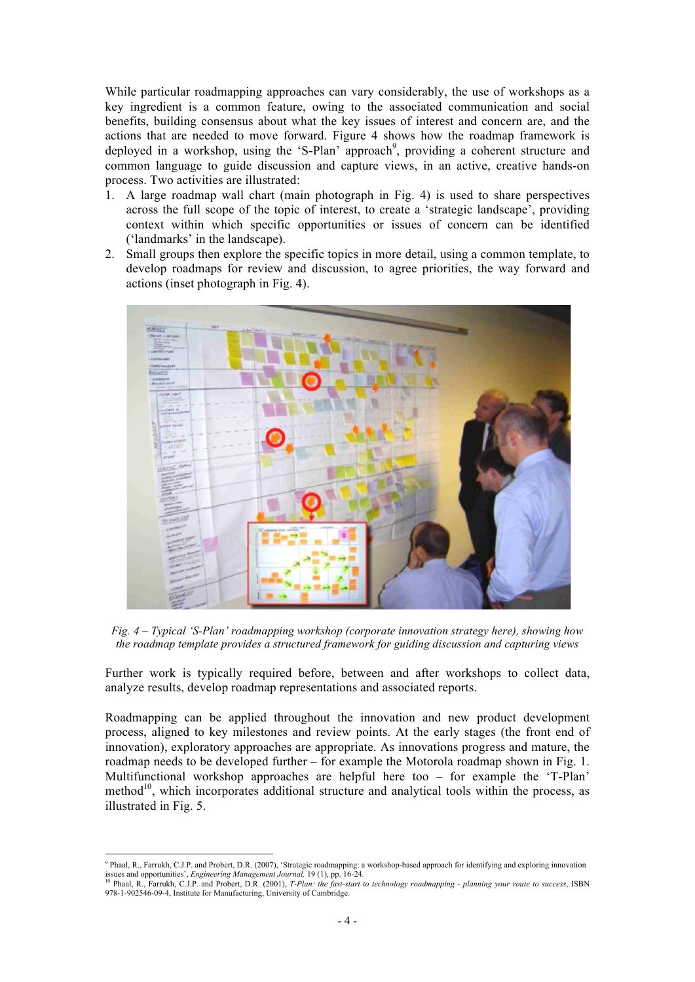While particular roadmapping approaches can vary considerably, the use of workshops as a key ingredient is a common feature, owing to the associated communication and social benefits, building consensus about what the key issues of interest and concern are, and the actions that are needed to move forward. Figure 4 shows how the roadmap framework is deployed in a workshop, using the 'S-Plan' approach<sup>9</sup>, providing a coherent structure and common language to guide discussion and capture views, in an active, creative hands-on process. Two activities are illustrated:

- 1. A large roadmap wall chart (main photograph in Fig. 4) is used to share perspectives across the full scope of the topic of interest, to create a 'strategic landscape', providing context within which specific opportunities or issues of concern can be identified ('landmarks' in the landscape).
- 2. Small groups then explore the specific topics in more detail, using a common template, to develop roadmaps for review and discussion, to agree priorities, the way forward and actions (inset photograph in Fig. 4).



*Fig. 4 – Typical 'S-Plan' roadmapping workshop (corporate innovation strategy here), showing how the roadmap template provides a structured framework for guiding discussion and capturing views*

Further work is typically required before, between and after workshops to collect data, analyze results, develop roadmap representations and associated reports.

Roadmapping can be applied throughout the innovation and new product development process, aligned to key milestones and review points. At the early stages (the front end of innovation), exploratory approaches are appropriate. As innovations progress and mature, the roadmap needs to be developed further – for example the Motorola roadmap shown in Fig. 1. Multifunctional workshop approaches are helpful here too – for example the 'T-Plan' method<sup>10</sup>, which incorporates additional structure and analytical tools within the process, as illustrated in Fig. 5.

<sup>-&</sup>lt;br>9 <sup>9</sup> Phaal, R., Farrukh, C.J.P. and Probert, D.R. (2007), 'Strategic roadmapping: a workshop-based approach for identifying and exploring innovation<br>issues and opportunities', *Engineering Management Journal*, 19 (1), pp. 1

<sup>10</sup> Phaal, R., Farrukh, C.J.P. and Probert, D.R. (2001), *T-Plan: the fast-start to technology roadmapping - planning your route to success*, ISBN 978-1-902546-09-4, Institute for Manufacturing, University of Cambridge.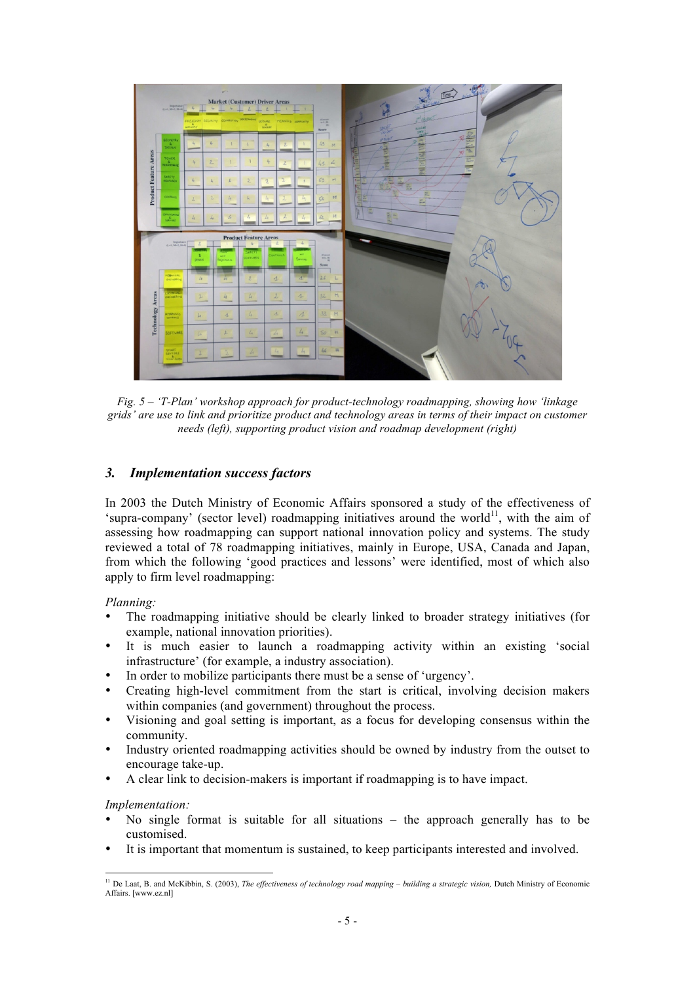

*Fig. 5 – 'T-Plan' workshop approach for product-technology roadmapping, showing how 'linkage grids' are use to link and prioritize product and technology areas in terms of their impact on customer needs (left), supporting product vision and roadmap development (right)*

### *3. Implementation success factors*

In 2003 the Dutch Ministry of Economic Affairs sponsored a study of the effectiveness of 'supra-company' (sector level) roadmapping initiatives around the world<sup>11</sup>, with the aim of assessing how roadmapping can support national innovation policy and systems. The study reviewed a total of 78 roadmapping initiatives, mainly in Europe, USA, Canada and Japan, from which the following 'good practices and lessons' were identified, most of which also apply to firm level roadmapping:

*Planning:*

- The roadmapping initiative should be clearly linked to broader strategy initiatives (for example, national innovation priorities).
- It is much easier to launch a roadmapping activity within an existing 'social infrastructure' (for example, a industry association).
- In order to mobilize participants there must be a sense of 'urgency'.
- Creating high-level commitment from the start is critical, involving decision makers within companies (and government) throughout the process.
- Visioning and goal setting is important, as a focus for developing consensus within the community.
- Industry oriented roadmapping activities should be owned by industry from the outset to encourage take-up.
- A clear link to decision-makers is important if roadmapping is to have impact.

#### *Implementation:*

- No single format is suitable for all situations  $-$  the approach generally has to be customised.
- It is important that momentum is sustained, to keep participants interested and involved.

<sup>&</sup>lt;sup>11</sup> De Laat, B. and McKibbin, S. (2003), *The effectiveness of technology road mapping – building a strategic vision*, Dutch Ministry of Economic Affairs. [www.ez.nl]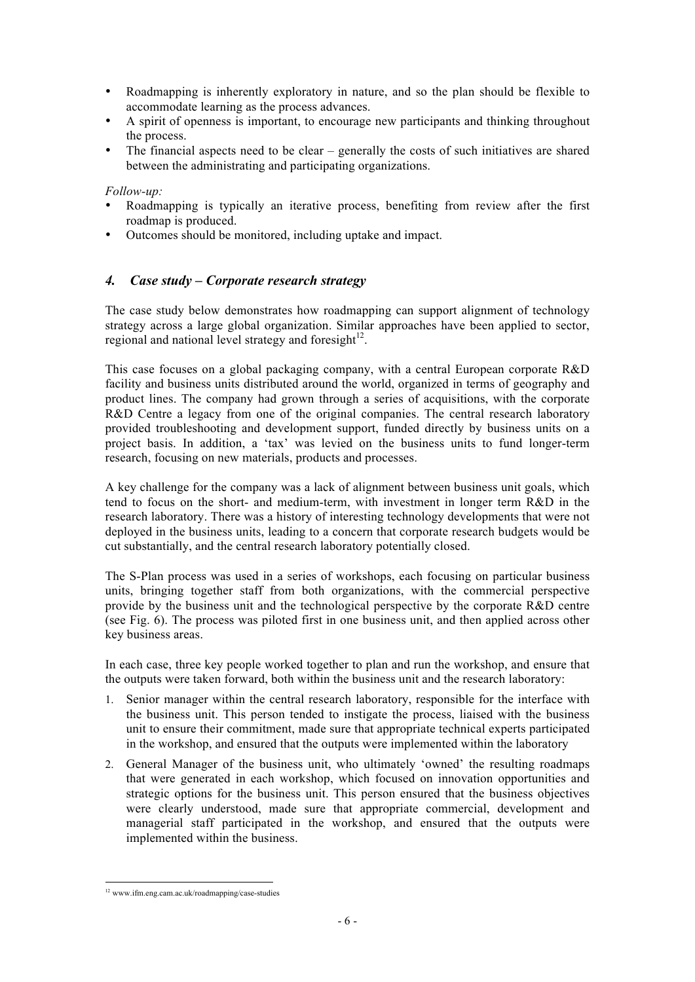- Roadmapping is inherently exploratory in nature, and so the plan should be flexible to accommodate learning as the process advances.
- A spirit of openness is important, to encourage new participants and thinking throughout the process.
- The financial aspects need to be clear generally the costs of such initiatives are shared between the administrating and participating organizations.

*Follow-up:*

- Roadmapping is typically an iterative process, benefiting from review after the first roadmap is produced.
- Outcomes should be monitored, including uptake and impact.

## *4. Case study – Corporate research strategy*

The case study below demonstrates how roadmapping can support alignment of technology strategy across a large global organization. Similar approaches have been applied to sector, regional and national level strategy and foresight<sup>12</sup>.

This case focuses on a global packaging company, with a central European corporate R&D facility and business units distributed around the world, organized in terms of geography and product lines. The company had grown through a series of acquisitions, with the corporate R&D Centre a legacy from one of the original companies. The central research laboratory provided troubleshooting and development support, funded directly by business units on a project basis. In addition, a 'tax' was levied on the business units to fund longer-term research, focusing on new materials, products and processes.

A key challenge for the company was a lack of alignment between business unit goals, which tend to focus on the short- and medium-term, with investment in longer term R&D in the research laboratory. There was a history of interesting technology developments that were not deployed in the business units, leading to a concern that corporate research budgets would be cut substantially, and the central research laboratory potentially closed.

The S-Plan process was used in a series of workshops, each focusing on particular business units, bringing together staff from both organizations, with the commercial perspective provide by the business unit and the technological perspective by the corporate R&D centre (see Fig. 6). The process was piloted first in one business unit, and then applied across other key business areas.

In each case, three key people worked together to plan and run the workshop, and ensure that the outputs were taken forward, both within the business unit and the research laboratory:

- 1. Senior manager within the central research laboratory, responsible for the interface with the business unit. This person tended to instigate the process, liaised with the business unit to ensure their commitment, made sure that appropriate technical experts participated in the workshop, and ensured that the outputs were implemented within the laboratory
- 2. General Manager of the business unit, who ultimately 'owned' the resulting roadmaps that were generated in each workshop, which focused on innovation opportunities and strategic options for the business unit. This person ensured that the business objectives were clearly understood, made sure that appropriate commercial, development and managerial staff participated in the workshop, and ensured that the outputs were implemented within the business.

 <sup>12</sup> www.ifm.eng.cam.ac.uk/roadmapping/case-studies